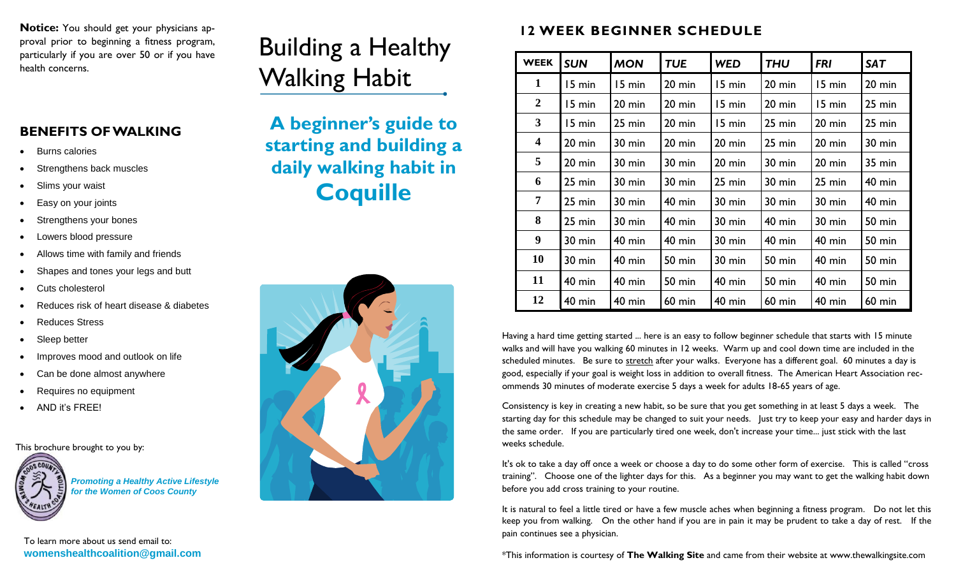**Notice:** You should get your physicians approval prior to beginning a fitness program, particularly if you are over 50 or if you have

## **BENEFITS OF WALKING**

- Burns calories
- Strengthens back muscles
- Slims your waist
- Easy on your joints
- Strengthens your bones
- Lowers blood pressure
- Allows time with family and friends
- Shapes and tones your legs and butt
- Cuts cholesterol
- Reduces risk of heart disease & diabetes
- Reduces Stress
- Sleep better
- Improves mood and outlook on life
- Can be done almost anywhere
- Requires no equipment
- AND it's FREE!

This brochure brought to you by:



*Promoting a Healthy Active Lifestyle for the Women of Coos County*

## Building a Healthy Walking Habit



## **12 WEEK BEGINNER SCHEDULE**

| particularly if you are over 50 or if you have<br>health concerns. | Dunung a Ficaluly       | <b>WEEK</b>             | <b>SUN</b>       | <b>MON</b>       | <b>TUE</b>    | <b>WED</b>    | <b>THU</b> | <b>FRI</b>    | <b>SAT</b>    |
|--------------------------------------------------------------------|-------------------------|-------------------------|------------------|------------------|---------------|---------------|------------|---------------|---------------|
|                                                                    | <b>Walking Habit</b>    |                         | 5 min            | 15 min           | 20 min        | 15 min        | 20 min     | 15 min        | $20$ min      |
|                                                                    |                         | $\overline{2}$          | 15 min           | $20$ min         | $20$ min      | 15 min        | 20 min     | 15 min        | $25$ min      |
|                                                                    | A beginner's guide to   | 3                       | 15 min           | $25$ min         | 20 min        | 15 min        | 25 min     | $20$ min      | $25$ min      |
| <b>BENEFITS OF WALKING</b><br><b>Burns calories</b>                | starting and building a | $\overline{\mathbf{4}}$ | $20 \text{ min}$ | $30 \text{ min}$ | 20 min        | 20 min        | $25$ min   | $20$ min      | 30 min        |
| Strengthens back muscles                                           | daily walking habit in  | 5                       | $20 \text{ min}$ | $30 \text{ min}$ | 30 min        | 20 min        | 30 min     | $20$ min      | 35 min        |
| Slims your waist                                                   |                         | 6                       | $25 \text{ min}$ | $30 \text{ min}$ | 30 min        | 25 min        | 30 min     | 25 min        | $40$ min      |
| Easy on your joints                                                | <b>Coquille</b>         |                         | $25 \text{ min}$ | $30$ min         | $40$ min      | 30 min        | 30 min     | 30 min        | <b>40 min</b> |
| Strengthens your bones                                             |                         | 8                       | $25 \text{ min}$ | $30 \text{ min}$ | $40$ min      | 30 min        | $40$ min   | 30 min        | <b>50 min</b> |
| Lowers blood pressure                                              |                         | $\boldsymbol{9}$        | 30 min           | $40$ min         | $40$ min      | 30 min        | $40$ min   | $40$ min      | <b>50 min</b> |
| Allows time with family and friends                                |                         | 10                      | 30 min           | $40$ min         | <b>50 min</b> | 30 min        | 50 min     | <b>40 min</b> | <b>50 min</b> |
| Shapes and tones your legs and butt                                |                         | 11                      | $40$ min         | $40$ min         | <b>50 min</b> | 40 min        | 50 min     | <b>40 min</b> | <b>50 min</b> |
| Cuts cholesterol<br>Reduces risk of heart disease & diabetes       |                         | 12                      | $40$ min         | $40$ min         | $60$ min      | <b>40 min</b> | $60$ min   | $40$ min      | <b>60 min</b> |

Having a hard time getting started ... here is an easy to follow beginner schedule that starts with 15 minute walks and will have you walking 60 minutes in 12 weeks. Warm up and cool down time are included in the scheduled minutes. Be sure to [stretch](http://www.thewalkingsite.com/stretching.html) after your walks. Everyone has a different goal. 60 minutes a day is good, especially if your goal is weight loss in addition to overall fitness. The American Heart Association recommends 30 minutes of moderate exercise 5 days a week for adults 18-65 years of age.

Consistency is key in creating a new habit, so be sure that you get something in at least 5 days a week. The starting day for this schedule may be changed to suit your needs. Just try to keep your easy and harder days in the same order. If you are particularly tired one week, don't increase your time... just stick with the last weeks schedule.

It's ok to take a day off once a week or choose a day to do some other form of exercise. This is called "cross training". Choose one of the lighter days for this. As a beginner you may want to get the walking habit down before you add cross training to your routine.

It is natural to feel a little tired or have a few muscle aches when beginning a fitness program. Do not let this keep you from walking. On the other hand if you are in pain it may be prudent to take a day of rest. If the pain continues see a physician.

\*This information is courtesy of **The Walking Site** and came from their website at www.thewalkingsite.com

To learn more about us send email to: **womenshealthcoalition@gmail.com**